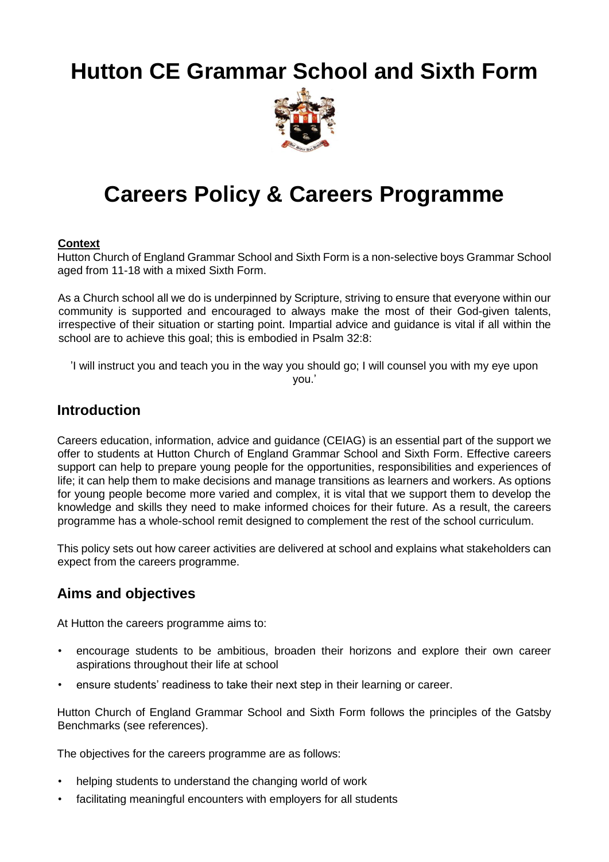# **Hutton CE Grammar School and Sixth Form**



# **Careers Policy & Careers Programme**

#### **Context**

Hutton Church of England Grammar School and Sixth Form is a non-selective boys Grammar School aged from 11-18 with a mixed Sixth Form.

As a Church school all we do is underpinned by Scripture, striving to ensure that everyone within our community is supported and encouraged to always make the most of their God-given talents, irrespective of their situation or starting point. Impartial advice and guidance is vital if all within the school are to achieve this goal; this is embodied in Psalm 32:8:

'I will instruct you and teach you in the way you should go; I will counsel you with my eye upon you.'

## **Introduction**

Careers education, information, advice and guidance (CEIAG) is an essential part of the support we offer to students at Hutton Church of England Grammar School and Sixth Form. Effective careers support can help to prepare young people for the opportunities, responsibilities and experiences of life; it can help them to make decisions and manage transitions as learners and workers. As options for young people become more varied and complex, it is vital that we support them to develop the knowledge and skills they need to make informed choices for their future. As a result, the careers programme has a whole-school remit designed to complement the rest of the school curriculum.

This policy sets out how career activities are delivered at school and explains what stakeholders can expect from the careers programme.

### **Aims and objectives**

At Hutton the careers programme aims to:

- encourage students to be ambitious, broaden their horizons and explore their own career aspirations throughout their life at school
- ensure students' readiness to take their next step in their learning or career.

Hutton Church of England Grammar School and Sixth Form follows the principles of the Gatsby Benchmarks (see references).

The objectives for the careers programme are as follows:

- helping students to understand the changing world of work
- facilitating meaningful encounters with employers for all students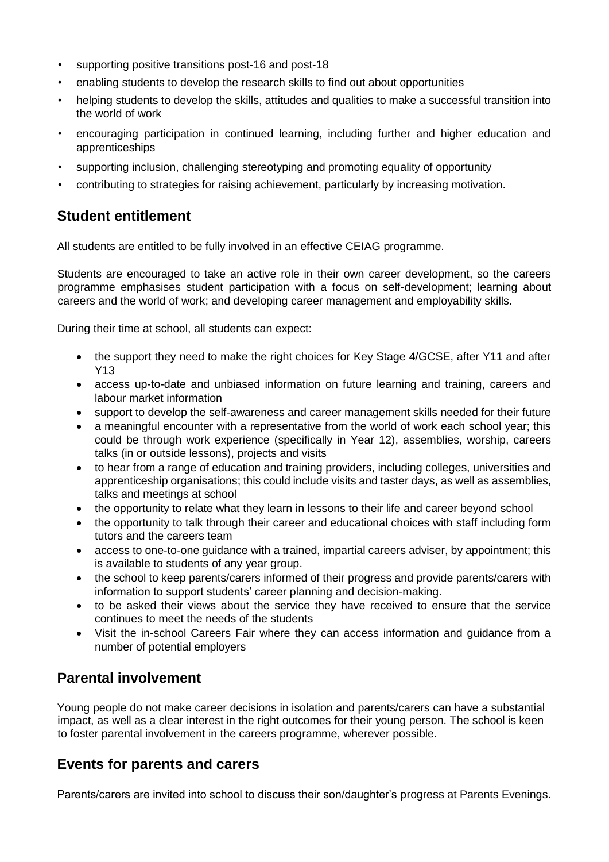- supporting positive transitions post-16 and post-18
- enabling students to develop the research skills to find out about opportunities
- helping students to develop the skills, attitudes and qualities to make a successful transition into the world of work
- encouraging participation in continued learning, including further and higher education and apprenticeships
- supporting inclusion, challenging stereotyping and promoting equality of opportunity
- contributing to strategies for raising achievement, particularly by increasing motivation.

### **Student entitlement**

All students are entitled to be fully involved in an effective CEIAG programme.

Students are encouraged to take an active role in their own career development, so the careers programme emphasises student participation with a focus on self-development; learning about careers and the world of work; and developing career management and employability skills.

During their time at school, all students can expect:

- the support they need to make the right choices for Key Stage 4/GCSE, after Y11 and after Y13
- access up-to-date and unbiased information on future learning and training, careers and labour market information
- support to develop the self-awareness and career management skills needed for their future
- a meaningful encounter with a representative from the world of work each school year; this could be through work experience (specifically in Year 12), assemblies, worship, careers talks (in or outside lessons), projects and visits
- to hear from a range of education and training providers, including colleges, universities and apprenticeship organisations; this could include visits and taster days, as well as assemblies, talks and meetings at school
- the opportunity to relate what they learn in lessons to their life and career beyond school
- the opportunity to talk through their career and educational choices with staff including form tutors and the careers team
- access to one-to-one guidance with a trained, impartial careers adviser, by appointment; this is available to students of any year group.
- the school to keep parents/carers informed of their progress and provide parents/carers with information to support students' career planning and decision-making.
- to be asked their views about the service they have received to ensure that the service continues to meet the needs of the students
- Visit the in-school Careers Fair where they can access information and guidance from a number of potential employers

# **Parental involvement**

Young people do not make career decisions in isolation and parents/carers can have a substantial impact, as well as a clear interest in the right outcomes for their young person. The school is keen to foster parental involvement in the careers programme, wherever possible.

### **Events for parents and carers**

Parents/carers are invited into school to discuss their son/daughter's progress at Parents Evenings.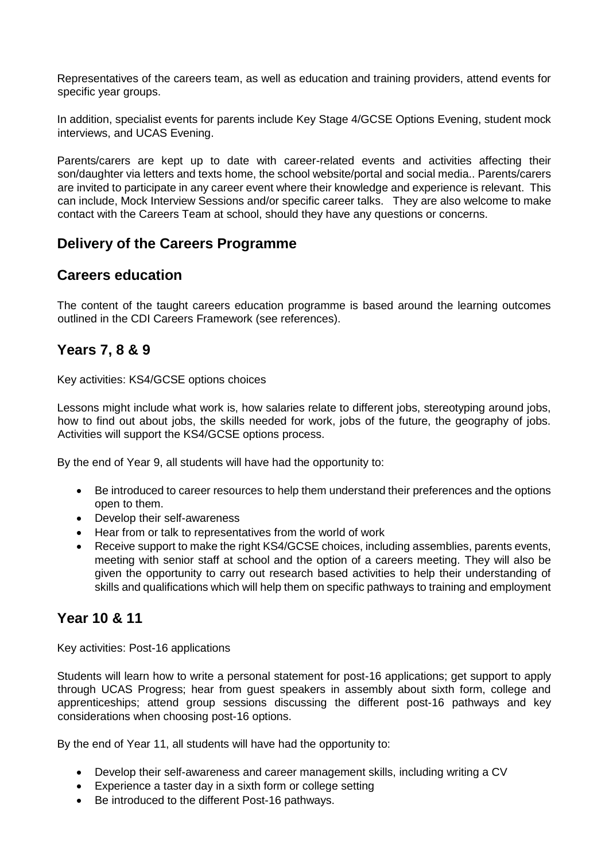Representatives of the careers team, as well as education and training providers, attend events for specific year groups.

In addition, specialist events for parents include Key Stage 4/GCSE Options Evening, student mock interviews, and UCAS Evening.

Parents/carers are kept up to date with career-related events and activities affecting their son/daughter via letters and texts home, the school website/portal and social media.. Parents/carers are invited to participate in any career event where their knowledge and experience is relevant. This can include, Mock Interview Sessions and/or specific career talks. They are also welcome to make contact with the Careers Team at school, should they have any questions or concerns.

## **Delivery of the Careers Programme**

#### **Careers education**

The content of the taught careers education programme is based around the learning outcomes outlined in the CDI Careers Framework (see references).

### **Years 7, 8 & 9**

Key activities: KS4/GCSE options choices

Lessons might include what work is, how salaries relate to different jobs, stereotyping around jobs, how to find out about jobs, the skills needed for work, jobs of the future, the geography of jobs. Activities will support the KS4/GCSE options process.

By the end of Year 9, all students will have had the opportunity to:

- Be introduced to career resources to help them understand their preferences and the options open to them.
- Develop their self-awareness
- Hear from or talk to representatives from the world of work
- Receive support to make the right KS4/GCSE choices, including assemblies, parents events, meeting with senior staff at school and the option of a careers meeting. They will also be given the opportunity to carry out research based activities to help their understanding of skills and qualifications which will help them on specific pathways to training and employment

# **Year 10 & 11**

Key activities: Post-16 applications

Students will learn how to write a personal statement for post-16 applications; get support to apply through UCAS Progress; hear from guest speakers in assembly about sixth form, college and apprenticeships; attend group sessions discussing the different post-16 pathways and key considerations when choosing post-16 options.

By the end of Year 11, all students will have had the opportunity to:

- Develop their self-awareness and career management skills, including writing a CV
- Experience a taster day in a sixth form or college setting
- Be introduced to the different Post-16 pathways.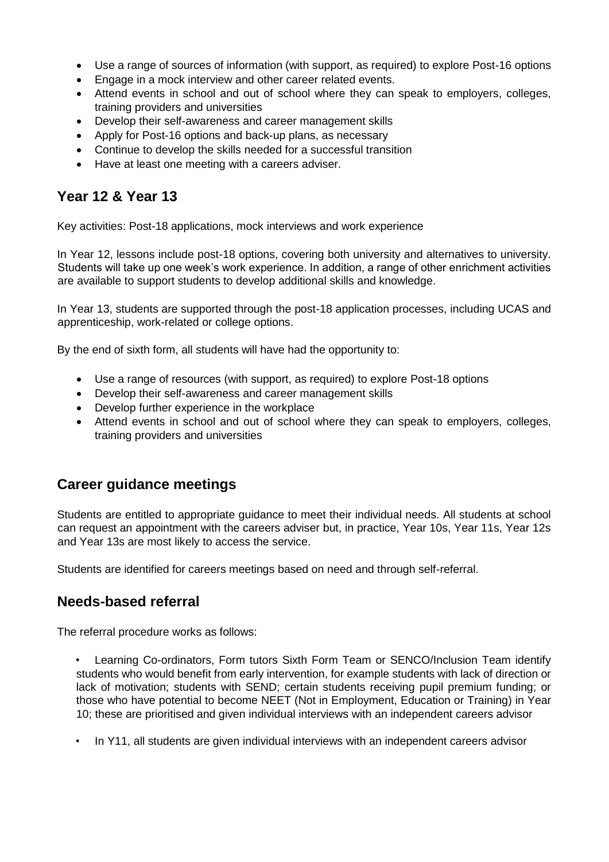- Use a range of sources of information (with support, as required) to explore Post-16 options
- Engage in a mock interview and other career related events.
- Attend events in school and out of school where they can speak to employers, colleges, training providers and universities
- Develop their self-awareness and career management skills
- Apply for Post-16 options and back-up plans, as necessary
- Continue to develop the skills needed for a successful transition
- Have at least one meeting with a careers adviser.

# **Year 12 & Year 13**

Key activities: Post-18 applications, mock interviews and work experience

In Year 12, lessons include post-18 options, covering both university and alternatives to university. Students will take up one week's work experience. In addition, a range of other enrichment activities are available to support students to develop additional skills and knowledge.

In Year 13, students are supported through the post-18 application processes, including UCAS and apprenticeship, work-related or college options.

By the end of sixth form, all students will have had the opportunity to:

- Use a range of resources (with support, as required) to explore Post-18 options
- Develop their self-awareness and career management skills
- Develop further experience in the workplace
- Attend events in school and out of school where they can speak to employers, colleges, training providers and universities

### **Career guidance meetings**

Students are entitled to appropriate guidance to meet their individual needs. All students at school can request an appointment with the careers adviser but, in practice, Year 10s, Year 11s, Year 12s and Year 13s are most likely to access the service.

Students are identified for careers meetings based on need and through self-referral.

### **Needs-based referral**

The referral procedure works as follows:

• Learning Co-ordinators, Form tutors Sixth Form Team or SENCO/Inclusion Team identify students who would benefit from early intervention, for example students with lack of direction or lack of motivation; students with SEND; certain students receiving pupil premium funding; or those who have potential to become NEET (Not in Employment, Education or Training) in Year 10; these are prioritised and given individual interviews with an independent careers advisor

• In Y11, all students are given individual interviews with an independent careers advisor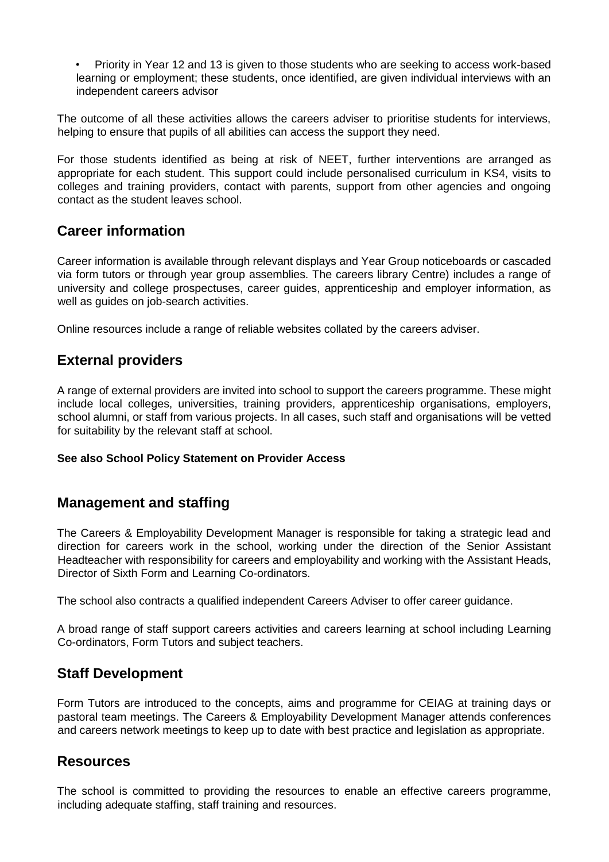• Priority in Year 12 and 13 is given to those students who are seeking to access work-based learning or employment; these students, once identified, are given individual interviews with an independent careers advisor

The outcome of all these activities allows the careers adviser to prioritise students for interviews, helping to ensure that pupils of all abilities can access the support they need.

For those students identified as being at risk of NEET, further interventions are arranged as appropriate for each student. This support could include personalised curriculum in KS4, visits to colleges and training providers, contact with parents, support from other agencies and ongoing contact as the student leaves school.

### **Career information**

Career information is available through relevant displays and Year Group noticeboards or cascaded via form tutors or through year group assemblies. The careers library Centre) includes a range of university and college prospectuses, career guides, apprenticeship and employer information, as well as guides on job-search activities.

Online resources include a range of reliable websites collated by the careers adviser.

### **External providers**

A range of external providers are invited into school to support the careers programme. These might include local colleges, universities, training providers, apprenticeship organisations, employers, school alumni, or staff from various projects. In all cases, such staff and organisations will be vetted for suitability by the relevant staff at school.

#### **See also School Policy Statement on Provider Access**

### **Management and staffing**

The Careers & Employability Development Manager is responsible for taking a strategic lead and direction for careers work in the school, working under the direction of the Senior Assistant Headteacher with responsibility for careers and employability and working with the Assistant Heads, Director of Sixth Form and Learning Co-ordinators.

The school also contracts a qualified independent Careers Adviser to offer career guidance.

A broad range of staff support careers activities and careers learning at school including Learning Co-ordinators, Form Tutors and subject teachers.

### **Staff Development**

Form Tutors are introduced to the concepts, aims and programme for CEIAG at training days or pastoral team meetings. The Careers & Employability Development Manager attends conferences and careers network meetings to keep up to date with best practice and legislation as appropriate.

#### **Resources**

The school is committed to providing the resources to enable an effective careers programme, including adequate staffing, staff training and resources.